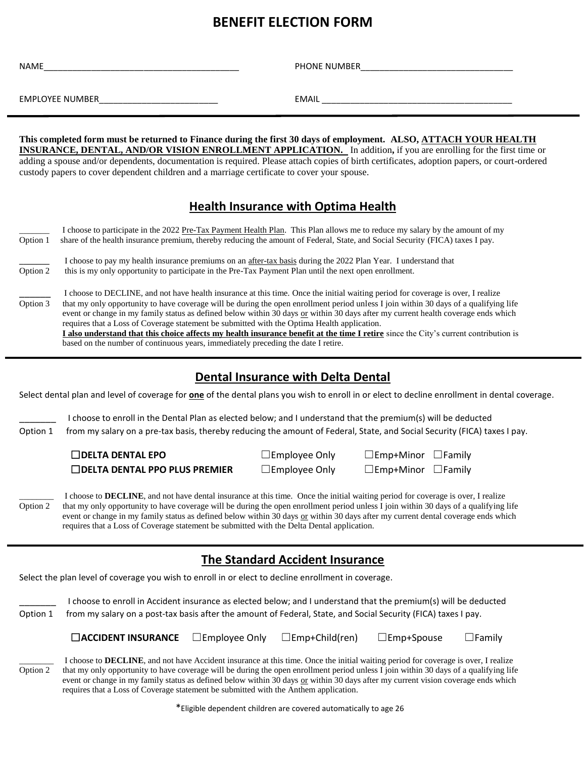# **BENEFIT ELECTION FORM**

| NAME                                                                                                                                                                                                                                                            | PHONE NUMBER |  |  |  |
|-----------------------------------------------------------------------------------------------------------------------------------------------------------------------------------------------------------------------------------------------------------------|--------------|--|--|--|
| EMPLOYEE NUMBER EMPLOYEE                                                                                                                                                                                                                                        |              |  |  |  |
| This completed form must be returned to Finance during the first 30 days of employment. ALSO, ATTACH YOUR HEALTH                                                                                                                                                |              |  |  |  |
| INSURANCE, DENTAL, AND/OR VISION ENROLLMENT APPLICATION. In addition, if you are enrolling for the first time or<br>adding a spouse and/or dependents, documentation is required. Please attach copies of birth certificates, adoption papers, or court-ordered |              |  |  |  |
| custody papers to cover dependent children and a marriage certificate to cover your spouse.                                                                                                                                                                     |              |  |  |  |

### **Health Insurance with Optima Health**

| Option 1 | I choose to participate in the 2022 Pre-Tax Payment Health Plan. This Plan allows me to reduce my salary by the amount of my<br>share of the health insurance premium, thereby reducing the amount of Federal, State, and Social Security (FICA) taxes I pay.                                                                                                                                                                                                                                                                                                                                                                                                                                                                              |
|----------|--------------------------------------------------------------------------------------------------------------------------------------------------------------------------------------------------------------------------------------------------------------------------------------------------------------------------------------------------------------------------------------------------------------------------------------------------------------------------------------------------------------------------------------------------------------------------------------------------------------------------------------------------------------------------------------------------------------------------------------------|
| Option 2 | I choose to pay my health insurance premiums on an after-tax basis during the 2022 Plan Year. I understand that<br>this is my only opportunity to participate in the Pre-Tax Payment Plan until the next open enrollment.                                                                                                                                                                                                                                                                                                                                                                                                                                                                                                                  |
| Option 3 | I choose to DECLINE, and not have health insurance at this time. Once the initial waiting period for coverage is over, I realize<br>that my only opportunity to have coverage will be during the open enrollment period unless I join within 30 days of a qualifying life<br>event or change in my family status as defined below within 30 days or within 30 days after my current health coverage ends which<br>requires that a Loss of Coverage statement be submitted with the Optima Health application.<br>I also understand that this choice affects my health insurance benefit at the time I retire since the City's current contribution is<br>based on the number of continuous years, immediately preceding the date I retire. |

#### **Dental Insurance with Delta Dental**

Select dental plan and level of coverage for **one** of the dental plans you wish to enroll in or elect to decline enrollment in dental coverage.

\_\_\_\_\_\_\_ I choose to enroll in the Dental Plan as elected below; and I understand that the premium(s) will be deducted Option 1from my salary on a pre-tax basis, thereby reducing the amount of Federal, State, and Social Security (FICA) taxes I pay.

> ☐**DELTA DENTAL EPO** ☐Employee Only ☐Emp+Minor ☐Family ☐**DELTA DENTAL PPO PLUS PREMIER** ☐Employee Only ☐Emp+Minor ☐Family

I choose to **DECLINE**, and not have dental insurance at this time. Once the initial waiting period for coverage is over, I realize Option 2 that my only opportunity to have coverage will be during the open enrollment period unless I join within 30 days of a qualifying life event or change in my family status as defined below within 30 days or within 30 days after my current dental coverage ends which requires that a Loss of Coverage statement be submitted with the Delta Dental application.

### **The Standard Accident Insurance**

Select the plan level of coverage you wish to enroll in or elect to decline enrollment in coverage.

|          | I choose to enroll in Accident insurance as elected below; and I understand that the premium(s) will be deducted |
|----------|------------------------------------------------------------------------------------------------------------------|
| Option 1 | l from my salary on a post-tax basis after the amount of Federal, State, and Social Security (FICA) taxes I pay  |

#### ☐**ACCIDENT INSURANCE** ☐Employee Only ☐Emp+Child(ren) ☐Emp+Spouse ☐Family

I choose to **DECLINE**, and not have Accident insurance at this time. Once the initial waiting period for coverage is over, I realize Option 2 that my only opportunity to have coverage will be during the open enrollment period unless I join within 30 days of a qualifying life event or change in my family status as defined below within 30 days or within 30 days after my current vision coverage ends which requires that a Loss of Coverage statement be submitted with the Anthem application.